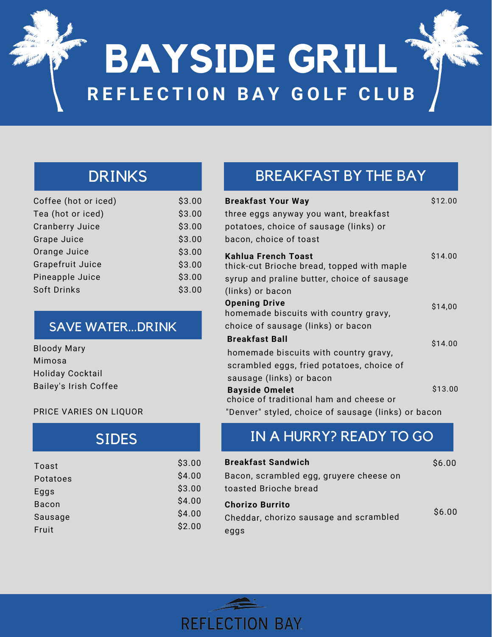# **BAYSIDE GRILL R E F L E C T I O N B A Y G O L F C L U B**

## DRINKS

| Coffee (hot or iced)   | \$3.00 |
|------------------------|--------|
| Tea (hot or iced)      | \$3.00 |
| <b>Cranberry Juice</b> | \$3.00 |
| <b>Grape Juice</b>     | \$3.00 |
| Orange Juice           | \$3.00 |
| Grapefruit Juice       | \$3.00 |
| Pineapple Juice        | \$3.00 |
| Soft Drinks            | \$3.00 |
|                        |        |

### SAVE WATER...DRINK

| <b>Bloody Mary</b>      |
|-------------------------|
| Mimosa                  |
| <b>Holiday Cocktail</b> |
| Bailey's Irish Coffee   |

#### PRICE VARIES ON LIQUOR

## SIDES

| Toast        | \$3.00 |
|--------------|--------|
| Potatoes     | \$4.00 |
| Eggs         | \$3.00 |
| <b>Bacon</b> | \$4.00 |
| Sausage      | \$4.00 |
| Fruit        | \$2.00 |
|              |        |

# BREAKFAST BY THE BAY

| Breakfast Your Way<br>three eggs anyway you want, breakfast<br>potatoes, choice of sausage (links) or<br>bacon, choice of toast | \$12.00 |
|---------------------------------------------------------------------------------------------------------------------------------|---------|
| Kahlua French Toast<br>thick-cut Brioche bread, topped with maple                                                               | \$14.00 |
| syrup and praline butter, choice of sausage                                                                                     |         |
| (links) or bacon                                                                                                                |         |
| <b>Opening Drive</b>                                                                                                            | \$14,00 |
| homemade biscuits with country gravy,                                                                                           |         |
| choice of sausage (links) or bacon                                                                                              |         |
| <b>Breakfast Ball</b>                                                                                                           | \$14.00 |
| homemade biscuits with country gravy,                                                                                           |         |
| scrambled eggs, fried potatoes, choice of                                                                                       |         |
| sausage (links) or bacon                                                                                                        |         |
| <b>Bayside Omelet</b><br>choice of traditional ham and cheese or                                                                | \$13.00 |
| "Denver" styled, choice of sausage (links) or bacon                                                                             |         |

## IN A HURRY? READY TO GO

| \$3.00           | <b>Breakfast Sandwich</b>               | \$6.00 |
|------------------|-----------------------------------------|--------|
| \$4.00           | Bacon, scrambled egg, gruyere cheese on |        |
| \$3.00           | toasted Brioche bread                   |        |
| \$4.00           | <b>Chorizo Burrito</b>                  |        |
| \$4.00<br>\$2.00 | Cheddar, chorizo sausage and scrambled  | \$6.00 |
|                  | eggs                                    |        |